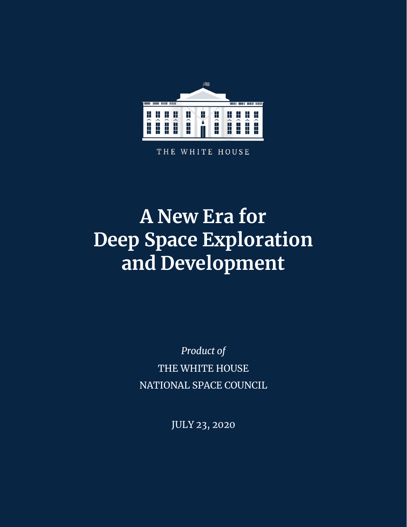

THE WHITE HOUSE

# **A New Era for Deep Space Exploration and Development**

*Product of* THE WHITE HOUSE NATIONAL SPACE COUNCIL

JULY 23, 2020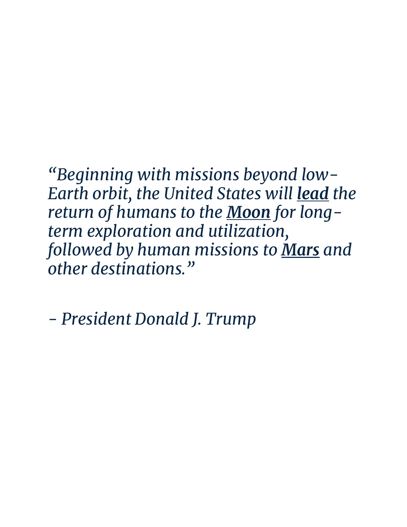*"Beginning with missions beyond low-Earth orbit, the United States will lead the return of humans to the Moon for longterm exploration and utilization, followed by human missions to Mars and other destinations."*

*- President Donald J. Trump*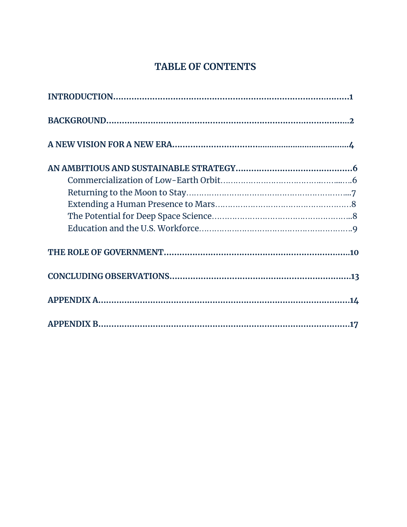## **TABLE OF CONTENTS**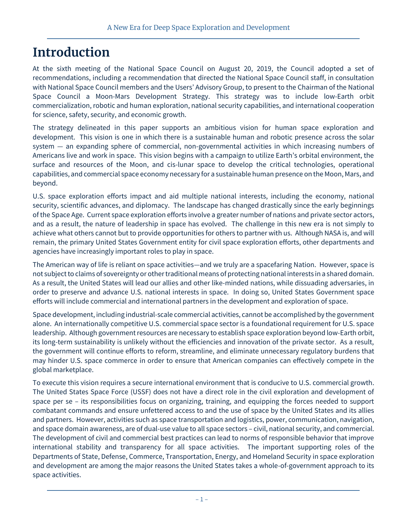## **Introduction**

At the sixth meeting of the National Space Council on August 20, 2019, the Council adopted a set of recommendations, including a recommendation that directed the National Space Council staff, in consultation with National Space Council members and the Users' Advisory Group, to present to the Chairman of the National Space Council a Moon-Mars Development Strategy. This strategy was to include low-Earth orbit commercialization, robotic and human exploration, national security capabilities, and international cooperation for science, safety, security, and economic growth.

The strategy delineated in this paper supports an ambitious vision for human space exploration and development. This vision is one in which there is a sustainable human and robotic presence across the solar system — an expanding sphere of commercial, non-governmental activities in which increasing numbers of Americans live and work in space. This vision begins with a campaign to utilize Earth's orbital environment, the surface and resources of the Moon, and cis-lunar space to develop the critical technologies, operational capabilities, and commercial space economy necessary for a sustainable human presence on the Moon, Mars, and beyond.

U.S. space exploration efforts impact and aid multiple national interests, including the economy, national security, scientific advances, and diplomacy. The landscape has changed drastically since the early beginnings of the Space Age. Current space exploration efforts involve a greater number of nations and private sector actors, and as a result, the nature of leadership in space has evolved. The challenge in this new era is not simply to achieve what others cannot but to provide opportunities for others to partner with us. Although NASA is, and will remain, the primary United States Government entity for civil space exploration efforts, other departments and agencies have increasingly important roles to play in space.

The American way of life is reliant on space activities—and we truly are a spacefaring Nation. However, space is not subject to claims of sovereignty or other traditional means of protecting national interests in a shared domain. As a result, the United States will lead our allies and other like-minded nations, while dissuading adversaries, in order to preserve and advance U.S. national interests in space. In doing so, United States Government space efforts will include commercial and international partners in the development and exploration of space.

Space development, including industrial-scale commercial activities, cannot be accomplished by the government alone. An internationally competitive U.S. commercial space sector is a foundational requirement for U.S. space leadership. Although government resources are necessary to establish space exploration beyond low-Earth orbit, its long-term sustainability is unlikely without the efficiencies and innovation of the private sector. As a result, the government will continue efforts to reform, streamline, and eliminate unnecessary regulatory burdens that may hinder U.S. space commerce in order to ensure that American companies can effectively compete in the global marketplace.

To execute this vision requires a secure international environment that is conducive to U.S. commercial growth. The United States Space Force (USSF) does not have a direct role in the civil exploration and development of space per se – its responsibilities focus on organizing, training, and equipping the forces needed to support combatant commands and ensure unfettered access to and the use of space by the United States and its allies and partners. However, activities such as space transportation and logistics, power, communication, navigation, and space domain awareness, are of dual-use value to all space sectors – civil, national security, and commercial. The development of civil and commercial best practices can lead to norms of responsible behavior that improve international stability and transparency for all space activities. The important supporting roles of the Departments of State, Defense, Commerce, Transportation, Energy, and Homeland Security in space exploration and development are among the major reasons the United States takes a whole-of-government approach to its space activities.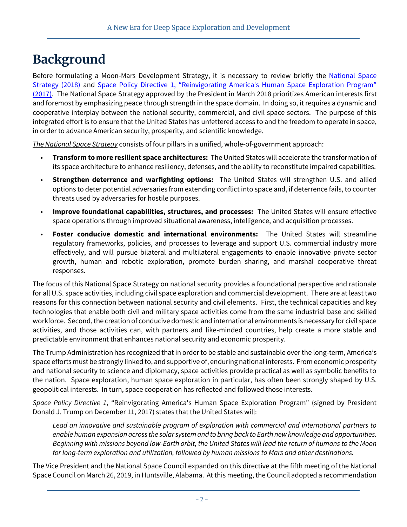## **Background**

Before formulating a Moon-Mars Development Strategy, it is necessary to review briefly the National Space [Strategy \(2018\)](https://www.whitehouse.gov/briefings-statements/president-donald-j-trump-unveiling-america-first-national-space-strategy/) and Space Policy Directive 1, "Reinvigorating America's Human Space Exploration Program" [\(2017\).](https://www.whitehouse.gov/presidential-actions/presidential-memorandum-reinvigorating-americas-human-space-exploration-program/) The National Space Strategy approved by the President in March 2018 prioritizes American interests first and foremost by emphasizing peace through strength in the space domain. In doing so, it requires a dynamic and cooperative interplay between the national security, commercial, and civil space sectors. The purpose of this integrated effort is to ensure that the United States has unfettered access to and the freedom to operate in space, in order to advance American security, prosperity, and scientific knowledge.

*The National Space Strategy* consists of four pillars in a unified, whole-of-government approach:

- **Transform to more resilient space architectures:** The United States will accelerate the transformation of its space architecture to enhance resiliency, defenses, and the ability to reconstitute impaired capabilities.
- **Strengthen deterrence and warfighting options:** The United States will strengthen U.S. and allied options to deter potential adversaries from extending conflict into space and, if deterrence fails, to counter threats used by adversaries for hostile purposes.
- **Improve foundational capabilities, structures, and processes:** The United States will ensure effective space operations through improved situational awareness, intelligence, and acquisition processes.
- **Foster conducive domestic and international environments:** The United States will streamline regulatory frameworks, policies, and processes to leverage and support U.S. commercial industry more effectively, and will pursue bilateral and multilateral engagements to enable innovative private sector growth, human and robotic exploration, promote burden sharing, and marshal cooperative threat responses.

The focus of this National Space Strategy on national security provides a foundational perspective and rationale for all U.S. space activities, including civil space exploration and commercial development. There are at least two reasons for this connection between national security and civil elements. First, the technical capacities and key technologies that enable both civil and military space activities come from the same industrial base and skilled workforce. Second, the creation of conducive domestic and international environments is necessary for civil space activities, and those activities can, with partners and like-minded countries, help create a more stable and predictable environment that enhances national security and economic prosperity.

The Trump Administration has recognized that in order to be stable and sustainable over the long-term, America's space efforts must be strongly linked to, and supportive of, enduring national interests. From economic prosperity and national security to science and diplomacy, space activities provide practical as well as symbolic benefits to the nation. Space exploration, human space exploration in particular, has often been strongly shaped by U.S. geopolitical interests. In turn, space cooperation has reflected and followed those interests.

*Space Policy Directive 1*, "Reinvigorating America's Human Space Exploration Program" (signed by President Donald J. Trump on December 11, 2017) states that the United States will:

*Lead an innovative and sustainable program of exploration with commercial and international partners to enable human expansion across the solar system and to bring back to Earth new knowledge and opportunities. Beginning with missions beyond low-Earth orbit, the United States will lead the return of humans to the Moon for long-term exploration and utilization, followed by human missions to Mars and other destinations.*

The Vice President and the National Space Council expanded on this directive at the fifth meeting of the National Space Council on March 26, 2019, in Huntsville, Alabama. At this meeting, the Council adopted a recommendation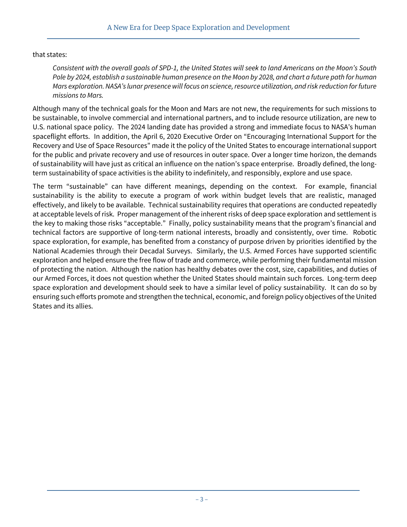#### that states:

*Consistent with the overall goals of SPD-1, the United States will seek to land Americans on the Moon's South Pole by 2024, establish a sustainable human presence on the Moon by 2028, and chart a future path for human Mars exploration. NASA's lunar presence will focus on science, resource utilization, and risk reduction for future missions to Mars.* 

Although many of the technical goals for the Moon and Mars are not new, the requirements for such missions to be sustainable, to involve commercial and international partners, and to include resource utilization, are new to U.S. national space policy. The 2024 landing date has provided a strong and immediate focus to NASA's human spaceflight efforts. In addition, the April 6, 2020 Executive Order on "Encouraging International Support for the Recovery and Use of Space Resources" made it the policy of the United States to encourage international support for the public and private recovery and use of resources in outer space. Over a longer time horizon, the demands of sustainability will have just as critical an influence on the nation's space enterprise. Broadly defined, the longterm sustainability of space activities is the ability to indefinitely, and responsibly, explore and use space.

The term "sustainable" can have different meanings, depending on the context. For example, financial sustainability is the ability to execute a program of work within budget levels that are realistic, managed effectively, and likely to be available. Technical sustainability requires that operations are conducted repeatedly at acceptable levels of risk. Proper management of the inherent risks of deep space exploration and settlement is the key to making those risks "acceptable." Finally, policy sustainability means that the program's financial and technical factors are supportive of long-term national interests, broadly and consistently, over time. Robotic space exploration, for example, has benefited from a constancy of purpose driven by priorities identified by the National Academies through their Decadal Surveys. Similarly, the U.S. Armed Forces have supported scientific exploration and helped ensure the free flow of trade and commerce, while performing their fundamental mission of protecting the nation. Although the nation has healthy debates over the cost, size, capabilities, and duties of our Armed Forces, it does not question whether the United States should maintain such forces. Long-term deep space exploration and development should seek to have a similar level of policy sustainability. It can do so by ensuring such efforts promote and strengthen the technical, economic, and foreign policy objectives of the United States and its allies.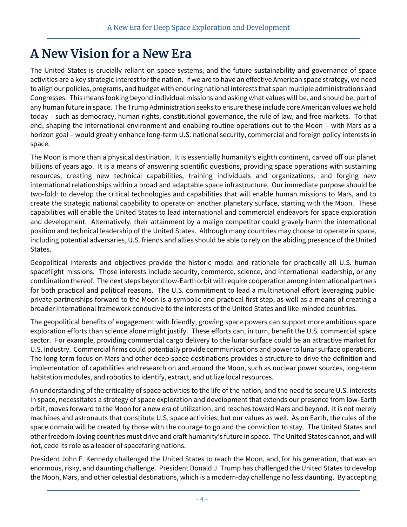## **A New Vision for a New Era**

The United States is crucially reliant on space systems, and the future sustainability and governance of space activities are a key strategic interest for the nation. If we are to have an effective American space strategy, we need to align our policies, programs, and budget with enduring national interests that span multiple administrations and Congresses. This means looking beyond individual missions and asking what values will be, and should be, part of any human future in space. The Trump Administration seeks to ensure these include core American values we hold today – such as democracy, human rights, constitutional governance, the rule of law, and free markets. To that end, shaping the international environment and enabling routine operations out to the Moon – with Mars as a horizon goal – would greatly enhance long-term U.S. national security, commercial and foreign policy interests in space.

The Moon is more than a physical destination. It is essentially humanity's eighth continent, carved off our planet billions of years ago. It is a means of answering scientific questions, providing space operations with sustaining resources, creating new technical capabilities, training individuals and organizations, and forging new international relationships within a broad and adaptable space infrastructure. Our immediate purpose should be two-fold: to develop the critical technologies and capabilities that will enable human missions to Mars, and to create the strategic national capability to operate on another planetary surface, starting with the Moon. These capabilities will enable the United States to lead international and commercial endeavors for space exploration and development. Alternatively, their attainment by a malign competitor could gravely harm the international position and technical leadership of the United States. Although many countries may choose to operate in space, including potential adversaries, U.S. friends and allies should be able to rely on the abiding presence of the United States.

Geopolitical interests and objectives provide the historic model and rationale for practically all U.S. human spaceflight missions. Those interests include security, commerce, science, and international leadership, or any combination thereof. The next steps beyond low-Earth orbit will require cooperation among international partners for both practical and political reasons. The U.S. commitment to lead a multinational effort leveraging publicprivate partnerships forward to the Moon is a symbolic and practical first step, as well as a means of creating a broader international framework conducive to the interests of the United States and like-minded countries.

The geopolitical benefits of engagement with friendly, growing space powers can support more ambitious space exploration efforts than science alone might justify. These efforts can, in turn, benefit the U.S. commercial space sector. For example, providing commercial cargo delivery to the lunar surface could be an attractive market for U.S. industry. Commercial firms could potentially provide communications and power to lunar surface operations. The long-term focus on Mars and other deep space destinations provides a structure to drive the definition and implementation of capabilities and research on and around the Moon, such as nuclear power sources, long-term habitation modules, and robotics to identify, extract, and utilize local resources.

An understanding of the criticality of space activities to the life of the nation, and the need to secure U.S. interests in space, necessitates a strategy of space exploration and development that extends our presence from low-Earth orbit, moves forward to the Moon for a new era of utilization, and reaches toward Mars and beyond. It is not merely machines and astronauts that constitute U.S. space activities, but our values as well. As on Earth, the rules of the space domain will be created by those with the courage to go and the conviction to stay. The United States and other freedom-loving countries must drive and craft humanity's future in space. The United States cannot, and will not, cede its role as a leader of spacefaring nations.

President John F. Kennedy challenged the United States to reach the Moon, and, for his generation, that was an enormous, risky, and daunting challenge. President Donald J. Trump has challenged the United States to develop the Moon, Mars, and other celestial destinations, which is a modern-day challenge no less daunting. By accepting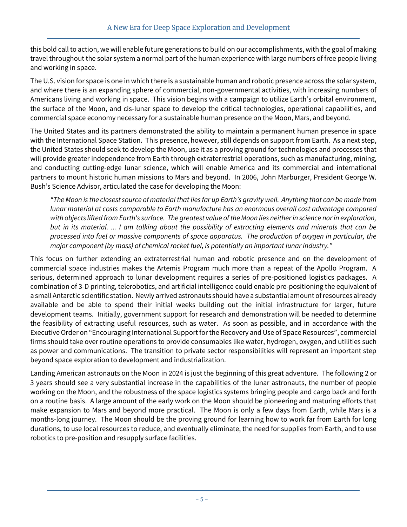this bold call to action, we will enable future generations to build on our accomplishments, with the goal of making travel throughout the solar system a normal part of the human experience with large numbers of free people living and working in space.

The U.S. vision for space is one in which there is a sustainable human and robotic presence across the solar system, and where there is an expanding sphere of commercial, non-governmental activities, with increasing numbers of Americans living and working in space. This vision begins with a campaign to utilize Earth's orbital environment, the surface of the Moon, and cis-lunar space to develop the critical technologies, operational capabilities, and commercial space economy necessary for a sustainable human presence on the Moon, Mars, and beyond.

The United States and its partners demonstrated the ability to maintain a permanent human presence in space with the International Space Station. This presence, however, still depends on support from Earth. As a next step, the United States should seek to develop the Moon, use it as a proving ground for technologies and processes that will provide greater independence from Earth through extraterrestrial operations, such as manufacturing, mining, and conducting cutting-edge lunar science, which will enable America and its commercial and international partners to mount historic human missions to Mars and beyond. In 2006, John Marburger, President George W. Bush's Science Advisor, articulated the case for developing the Moon:

*"The Moon is the closest source of material that lies far up Earth's gravity well. Anything that can be made from lunar material at costs comparable to Earth manufacture has an enormous overall cost advantage compared with objects lifted from Earth's surface. The greatest value of the Moon lies neither in science nor in exploration, but in its material. ... I am talking about the possibility of extracting elements and minerals that can be processed into fuel or massive components of space apparatus. The production of oxygen in particular, the major component (by mass) of chemical rocket fuel, is potentially an important lunar industry."*

This focus on further extending an extraterrestrial human and robotic presence and on the development of commercial space industries makes the Artemis Program much more than a repeat of the Apollo Program. A serious, determined approach to lunar development requires a series of pre-positioned logistics packages. A combination of 3-D printing, telerobotics, and artificial intelligence could enable pre-positioning the equivalent of a small Antarctic scientific station. Newly arrived astronauts should have a substantial amount of resources already available and be able to spend their initial weeks building out the initial infrastructure for larger, future development teams. Initially, government support for research and demonstration will be needed to determine the feasibility of extracting useful resources, such as water. As soon as possible, and in accordance with the Executive Order on "Encouraging International Support for the Recovery and Use of Space Resources", commercial firms should take over routine operations to provide consumables like water, hydrogen, oxygen, and utilities such as power and communications. The transition to private sector responsibilities will represent an important step beyond space exploration to development and industrialization.

Landing American astronauts on the Moon in 2024 is just the beginning of this great adventure. The following 2 or 3 years should see a very substantial increase in the capabilities of the lunar astronauts, the number of people working on the Moon, and the robustness of the space logistics systems bringing people and cargo back and forth on a routine basis. A large amount of the early work on the Moon should be pioneering and maturing efforts that make expansion to Mars and beyond more practical. The Moon is only a few days from Earth, while Mars is a months-long journey. The Moon should be the proving ground for learning how to work far from Earth for long durations, to use local resources to reduce, and eventually eliminate, the need for supplies from Earth, and to use robotics to pre-position and resupply surface facilities.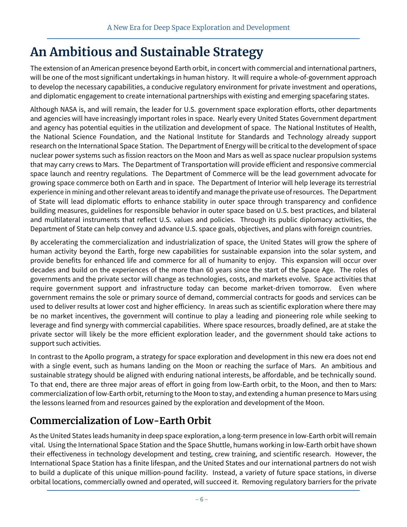## **An Ambitious and Sustainable Strategy**

The extension of an American presence beyond Earth orbit, in concert with commercial and international partners, will be one of the most significant undertakings in human history. It will require a whole-of-government approach to develop the necessary capabilities, a conducive regulatory environment for private investment and operations, and diplomatic engagement to create international partnerships with existing and emerging spacefaring states.

Although NASA is, and will remain, the leader for U.S. government space exploration efforts, other departments and agencies will have increasingly important roles in space. Nearly every United States Government department and agency has potential equities in the utilization and development of space. The National Institutes of Health, the National Science Foundation, and the National Institute for Standards and Technology already support research on the International Space Station. The Department of Energy will be critical to the development of space nuclear power systems such as fission reactors on the Moon and Mars as well as space nuclear propulsion systems that may carry crews to Mars. The Department of Transportation will provide efficient and responsive commercial space launch and reentry regulations. The Department of Commerce will be the lead government advocate for growing space commerce both on Earth and in space. The Department of Interior will help leverage its terrestrial experience in mining and other relevant areas to identify and manage the private use of resources. The Department of State will lead diplomatic efforts to enhance stability in outer space through transparency and confidence building measures, guidelines for responsible behavior in outer space based on U.S. best practices, and bilateral and multilateral instruments that reflect U.S. values and policies. Through its public diplomacy activities, the Department of State can help convey and advance U.S. space goals, objectives, and plans with foreign countries.

By accelerating the commercialization and industrialization of space, the United States will grow the sphere of human activity beyond the Earth, forge new capabilities for sustainable expansion into the solar system, and provide benefits for enhanced life and commerce for all of humanity to enjoy. This expansion will occur over decades and build on the experiences of the more than 60 years since the start of the Space Age. The roles of governments and the private sector will change as technologies, costs, and markets evolve. Space activities that require government support and infrastructure today can become market-driven tomorrow. Even where government remains the sole or primary source of demand, commercial contracts for goods and services can be used to deliver results at lower cost and higher efficiency. In areas such as scientific exploration where there may be no market incentives, the government will continue to play a leading and pioneering role while seeking to leverage and find synergy with commercial capabilities. Where space resources, broadly defined, are at stake the private sector will likely be the more efficient exploration leader, and the government should take actions to support such activities.

In contrast to the Apollo program, a strategy for space exploration and development in this new era does not end with a single event, such as humans landing on the Moon or reaching the surface of Mars. An ambitious and sustainable strategy should be aligned with enduring national interests, be affordable, and be technically sound. To that end, there are three major areas of effort in going from low-Earth orbit, to the Moon, and then to Mars: commercialization of low-Earth orbit, returning to the Moon to stay, and extending a human presence to Mars using the lessons learned from and resources gained by the exploration and development of the Moon.

## **Commercialization of Low-Earth Orbit**

As the United States leads humanity in deep space exploration, a long-term presence in low-Earth orbit will remain vital. Using the International Space Station and the Space Shuttle, humans working in low-Earth orbit have shown their effectiveness in technology development and testing, crew training, and scientific research. However, the International Space Station has a finite lifespan, and the United States and our international partners do not wish to build a duplicate of this unique million-pound facility. Instead, a variety of future space stations, in diverse orbital locations, commercially owned and operated, will succeed it. Removing regulatory barriers for the private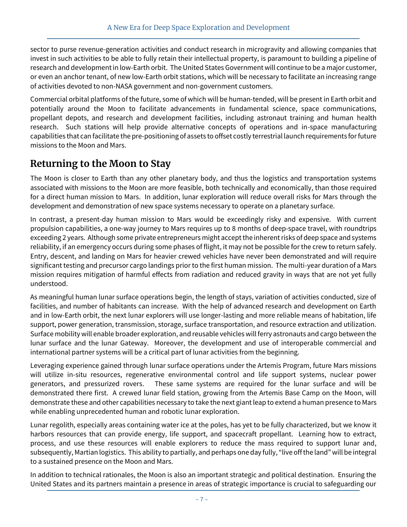sector to purse revenue-generation activities and conduct research in microgravity and allowing companies that invest in such activities to be able to fully retain their intellectual property, is paramount to building a pipeline of research and development in low-Earth orbit. The United States Government will continue to be a major customer, or even an anchor tenant, of new low-Earth orbit stations, which will be necessary to facilitate an increasing range of activities devoted to non-NASA government and non-government customers.

Commercial orbital platforms of the future, some of which will be human-tended, will be present in Earth orbit and potentially around the Moon to facilitate advancements in fundamental science, space communications, propellant depots, and research and development facilities, including astronaut training and human health research. Such stations will help provide alternative concepts of operations and in-space manufacturing capabilities that can facilitate the pre-positioning of assets to offset costly terrestrial launch requirements for future missions to the Moon and Mars.

## **Returning to the Moon to Stay**

The Moon is closer to Earth than any other planetary body, and thus the logistics and transportation systems associated with missions to the Moon are more feasible, both technically and economically, than those required for a direct human mission to Mars. In addition, lunar exploration will reduce overall risks for Mars through the development and demonstration of new space systems necessary to operate on a planetary surface.

In contrast, a present-day human mission to Mars would be exceedingly risky and expensive. With current propulsion capabilities, a one-way journey to Mars requires up to 8 months of deep-space travel, with roundtrips exceeding 2 years. Although some private entrepreneurs might accept the inherent risks of deep space and systems reliability, if an emergency occurs during some phases of flight, it may not be possible for the crew to return safely. Entry, descent, and landing on Mars for heavier crewed vehicles have never been demonstrated and will require significant testing and precursor cargo landings prior to the first human mission. The multi-year duration of a Mars mission requires mitigation of harmful effects from radiation and reduced gravity in ways that are not yet fully understood.

As meaningful human lunar surface operations begin, the length of stays, variation of activities conducted, size of facilities, and number of habitants can increase. With the help of advanced research and development on Earth and in low-Earth orbit, the next lunar explorers will use longer-lasting and more reliable means of habitation, life support, power generation, transmission, storage, surface transportation, and resource extraction and utilization. Surface mobility will enable broader exploration, and reusable vehicles will ferry astronauts and cargo between the lunar surface and the lunar Gateway. Moreover, the development and use of interoperable commercial and international partner systems will be a critical part of lunar activities from the beginning.

Leveraging experience gained through lunar surface operations under the Artemis Program, future Mars missions will utilize in-situ resources, regenerative environmental control and life support systems, nuclear power generators, and pressurized rovers. These same systems are required for the lunar surface and will be demonstrated there first. A crewed lunar field station, growing from the Artemis Base Camp on the Moon, will demonstrate these and other capabilities necessary to take the next giant leap to extend a human presence to Mars while enabling unprecedented human and robotic lunar exploration.

Lunar regolith, especially areas containing water ice at the poles, has yet to be fully characterized, but we know it harbors resources that can provide energy, life support, and spacecraft propellant. Learning how to extract, process, and use these resources will enable explorers to reduce the mass required to support lunar and, subsequently, Martian logistics. This ability to partially, and perhaps one day fully, "live off the land" will be integral to a sustained presence on the Moon and Mars.

In addition to technical rationales, the Moon is also an important strategic and political destination. Ensuring the United States and its partners maintain a presence in areas of strategic importance is crucial to safeguarding our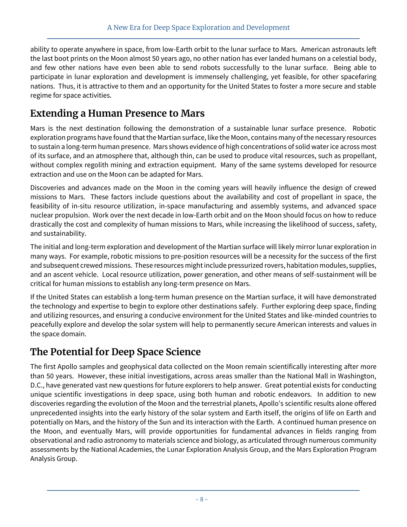ability to operate anywhere in space, from low-Earth orbit to the lunar surface to Mars. American astronauts left the last boot prints on the Moon almost 50 years ago, no other nation has ever landed humans on a celestial body, and few other nations have even been able to send robots successfully to the lunar surface. Being able to participate in lunar exploration and development is immensely challenging, yet feasible, for other spacefaring nations. Thus, it is attractive to them and an opportunity for the United States to foster a more secure and stable regime for space activities.

## **Extending a Human Presence to Mars**

Mars is the next destination following the demonstration of a sustainable lunar surface presence. Robotic exploration programs have found that the Martian surface, like the Moon, contains many of the necessary resources to sustain a long-term human presence. Mars shows evidence of high concentrations of solid water ice across most of its surface, and an atmosphere that, although thin, can be used to produce vital resources, such as propellant, without complex regolith mining and extraction equipment. Many of the same systems developed for resource extraction and use on the Moon can be adapted for Mars.

Discoveries and advances made on the Moon in the coming years will heavily influence the design of crewed missions to Mars. These factors include questions about the availability and cost of propellant in space, the feasibility of in-situ resource utilization, in-space manufacturing and assembly systems, and advanced space nuclear propulsion. Work over the next decade in low-Earth orbit and on the Moon should focus on how to reduce drastically the cost and complexity of human missions to Mars, while increasing the likelihood of success, safety, and sustainability.

The initial and long-term exploration and development of the Martian surface will likely mirror lunar exploration in many ways. For example, robotic missions to pre-position resources will be a necessity for the success of the first and subsequent crewed missions. These resources might include pressurized rovers, habitation modules, supplies, and an ascent vehicle. Local resource utilization, power generation, and other means of self-sustainment will be critical for human missions to establish any long-term presence on Mars.

If the United States can establish a long-term human presence on the Martian surface, it will have demonstrated the technology and expertise to begin to explore other destinations safely. Further exploring deep space, finding and utilizing resources, and ensuring a conducive environment for the United States and like-minded countries to peacefully explore and develop the solar system will help to permanently secure American interests and values in the space domain.

## **The Potential for Deep Space Science**

The first Apollo samples and geophysical data collected on the Moon remain scientifically interesting after more than 50 years. However, these initial investigations, across areas smaller than the National Mall in Washington, D.C., have generated vast new questions for future explorers to help answer. Great potential exists for conducting unique scientific investigations in deep space, using both human and robotic endeavors. In addition to new discoveries regarding the evolution of the Moon and the terrestrial planets, Apollo's scientific results alone offered unprecedented insights into the early history of the solar system and Earth itself, the origins of life on Earth and potentially on Mars, and the history of the Sun and its interaction with the Earth. A continued human presence on the Moon, and eventually Mars, will provide opportunities for fundamental advances in fields ranging from observational and radio astronomy to materials science and biology, as articulated through numerous community assessments by the National Academies, the Lunar Exploration Analysis Group, and the Mars Exploration Program Analysis Group.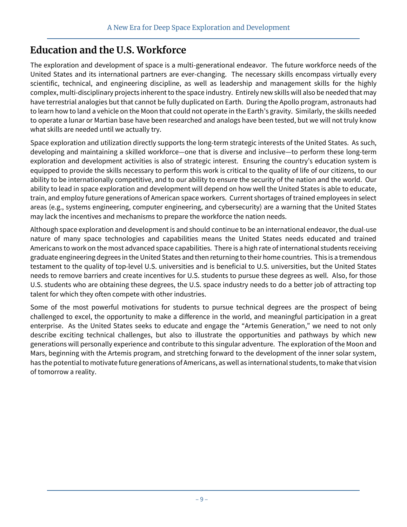## **Education and the U.S. Workforce**

The exploration and development of space is a multi-generational endeavor. The future workforce needs of the United States and its international partners are ever-changing. The necessary skills encompass virtually every scientific, technical, and engineering discipline, as well as leadership and management skills for the highly complex, multi-disciplinary projects inherent to the space industry. Entirely new skills will also be needed that may have terrestrial analogies but that cannot be fully duplicated on Earth. During the Apollo program, astronauts had to learn how to land a vehicle on the Moon that could not operate in the Earth's gravity. Similarly, the skills needed to operate a lunar or Martian base have been researched and analogs have been tested, but we will not truly know what skills are needed until we actually try.

Space exploration and utilization directly supports the long-term strategic interests of the United States. As such, developing and maintaining a skilled workforce—one that is diverse and inclusive—to perform these long-term exploration and development activities is also of strategic interest. Ensuring the country's education system is equipped to provide the skills necessary to perform this work is critical to the quality of life of our citizens, to our ability to be internationally competitive, and to our ability to ensure the security of the nation and the world. Our ability to lead in space exploration and development will depend on how well the United States is able to educate, train, and employ future generations of American space workers. Current shortages of trained employees in select areas (e.g., systems engineering, computer engineering, and cybersecurity) are a warning that the United States may lack the incentives and mechanisms to prepare the workforce the nation needs.

Although space exploration and development is and should continue to be an international endeavor, the dual-use nature of many space technologies and capabilities means the United States needs educated and trained Americans to work on the most advanced space capabilities. There is a high rate of international students receiving graduate engineering degrees in the United States and then returning to their home countries. This is a tremendous testament to the quality of top-level U.S. universities and is beneficial to U.S. universities, but the United States needs to remove barriers and create incentives for U.S. students to pursue these degrees as well. Also, for those U.S. students who are obtaining these degrees, the U.S. space industry needs to do a better job of attracting top talent for which they often compete with other industries.

Some of the most powerful motivations for students to pursue technical degrees are the prospect of being challenged to excel, the opportunity to make a difference in the world, and meaningful participation in a great enterprise. As the United States seeks to educate and engage the "Artemis Generation," we need to not only describe exciting technical challenges, but also to illustrate the opportunities and pathways by which new generations will personally experience and contribute to this singular adventure. The exploration of the Moon and Mars, beginning with the Artemis program, and stretching forward to the development of the inner solar system, has the potential to motivate future generations of Americans, as well as international students, to make that vision of tomorrow a reality.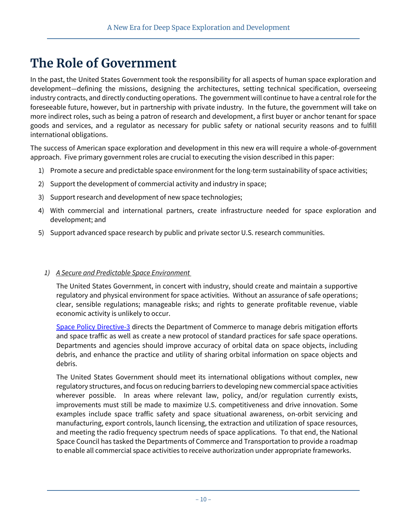## **The Role of Government**

In the past, the United States Government took the responsibility for all aspects of human space exploration and development—defining the missions, designing the architectures, setting technical specification, overseeing industry contracts, and directly conducting operations. The government will continue to have a central role for the foreseeable future, however, but in partnership with private industry. In the future, the government will take on more indirect roles, such as being a patron of research and development, a first buyer or anchor tenant for space goods and services, and a regulator as necessary for public safety or national security reasons and to fulfill international obligations.

The success of American space exploration and development in this new era will require a whole-of-government approach. Five primary government roles are crucial to executing the vision described in this paper:

- 1) Promote a secure and predictable space environment for the long-term sustainability of space activities;
- 2) Support the development of commercial activity and industry in space;
- 3) Support research and development of new space technologies;
- 4) With commercial and international partners, create infrastructure needed for space exploration and development; and
- 5) Support advanced space research by public and private sector U.S. research communities.

#### *1) A Secure and Predictable Space Environment*

The United States Government, in concert with industry, should create and maintain a supportive regulatory and physical environment for space activities. Without an assurance of safe operations; clear, sensible regulations; manageable risks; and rights to generate profitable revenue, viable economic activity is unlikely to occur.

[Space Policy Directive-3](https://www.whitehouse.gov/presidential-actions/space-policy-directive-3-national-space-traffic-management-policy/) directs the Department of Commerce to manage debris mitigation efforts and space traffic as well as create a new protocol of standard practices for safe space operations. Departments and agencies should improve accuracy of orbital data on space objects, including debris, and enhance the practice and utility of sharing orbital information on space objects and debris.

The United States Government should meet its international obligations without complex, new regulatory structures, and focus on reducing barriers to developing new commercial space activities wherever possible. In areas where relevant law, policy, and/or regulation currently exists, improvements must still be made to maximize U.S. competitiveness and drive innovation. Some examples include space traffic safety and space situational awareness, on-orbit servicing and manufacturing, export controls, launch licensing, the extraction and utilization of space resources, and meeting the radio frequency spectrum needs of space applications. To that end, the National Space Council has tasked the Departments of Commerce and Transportation to provide a roadmap to enable all commercial space activities to receive authorization under appropriate frameworks.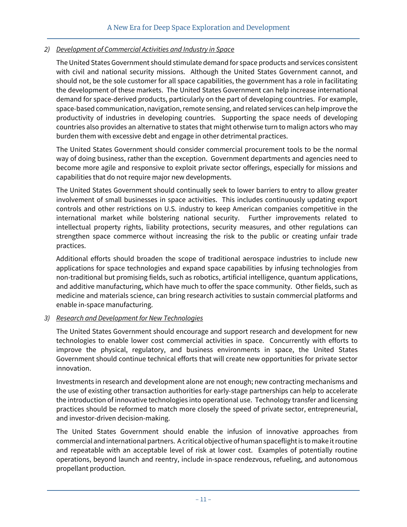#### *2) Development of Commercial Activities and Industry in Space*

The United States Government should stimulate demand for space products and services consistent with civil and national security missions. Although the United States Government cannot, and should not, be the sole customer for all space capabilities, the government has a role in facilitating the development of these markets. The United States Government can help increase international demand for space-derived products, particularly on the part of developing countries. For example, space-based communication, navigation, remote sensing, and related services can help improve the productivity of industries in developing countries. Supporting the space needs of developing countries also provides an alternative to states that might otherwise turn to malign actors who may burden them with excessive debt and engage in other detrimental practices.

The United States Government should consider commercial procurement tools to be the normal way of doing business, rather than the exception. Government departments and agencies need to become more agile and responsive to exploit private sector offerings, especially for missions and capabilities that do not require major new developments.

The United States Government should continually seek to lower barriers to entry to allow greater involvement of small businesses in space activities. This includes continuously updating export controls and other restrictions on U.S. industry to keep American companies competitive in the international market while bolstering national security. Further improvements related to intellectual property rights, liability protections, security measures, and other regulations can strengthen space commerce without increasing the risk to the public or creating unfair trade practices.

Additional efforts should broaden the scope of traditional aerospace industries to include new applications for space technologies and expand space capabilities by infusing technologies from non-traditional but promising fields, such as robotics, artificial intelligence, quantum applications, and additive manufacturing, which have much to offer the space community. Other fields, such as medicine and materials science, can bring research activities to sustain commercial platforms and enable in-space manufacturing.

#### *3) Research and Development for New Technologies*

The United States Government should encourage and support research and development for new technologies to enable lower cost commercial activities in space. Concurrently with efforts to improve the physical, regulatory, and business environments in space, the United States Government should continue technical efforts that will create new opportunities for private sector innovation.

Investments in research and development alone are not enough; new contracting mechanisms and the use of existing other transaction authorities for early-stage partnerships can help to accelerate the introduction of innovative technologies into operational use. Technology transfer and licensing practices should be reformed to match more closely the speed of private sector, entrepreneurial, and investor-driven decision-making.

The United States Government should enable the infusion of innovative approaches from commercial and international partners. A critical objective of human spaceflight is to make it routine and repeatable with an acceptable level of risk at lower cost. Examples of potentially routine operations, beyond launch and reentry, include in-space rendezvous, refueling, and autonomous propellant production.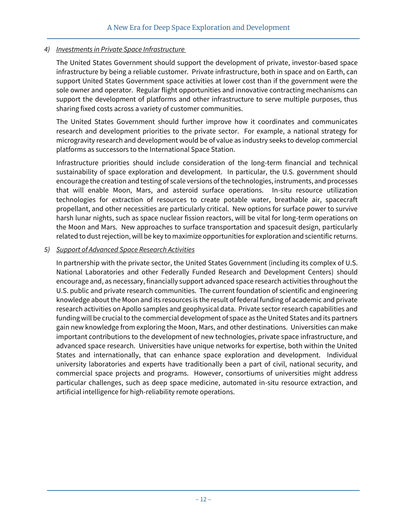#### *4) Investments in Private Space Infrastructure*

The United States Government should support the development of private, investor-based space infrastructure by being a reliable customer. Private infrastructure, both in space and on Earth, can support United States Government space activities at lower cost than if the government were the sole owner and operator. Regular flight opportunities and innovative contracting mechanisms can support the development of platforms and other infrastructure to serve multiple purposes, thus sharing fixed costs across a variety of customer communities.

The United States Government should further improve how it coordinates and communicates research and development priorities to the private sector. For example, a national strategy for microgravity research and development would be of value as industry seeks to develop commercial platforms as successors to the International Space Station.

Infrastructure priorities should include consideration of the long-term financial and technical sustainability of space exploration and development. In particular, the U.S. government should encourage the creation and testing of scale versions of the technologies, instruments, and processes that will enable Moon, Mars, and asteroid surface operations. In-situ resource utilization technologies for extraction of resources to create potable water, breathable air, spacecraft propellant, and other necessities are particularly critical. New options for surface power to survive harsh lunar nights, such as space nuclear fission reactors, will be vital for long-term operations on the Moon and Mars. New approaches to surface transportation and spacesuit design, particularly related to dust rejection, will be key to maximize opportunities for exploration and scientific returns.

#### *5) Support of Advanced Space Research Activities*

In partnership with the private sector, the United States Government (including its complex of U.S. National Laboratories and other Federally Funded Research and Development Centers) should encourage and, as necessary, financially support advanced space research activities throughout the U.S. public and private research communities. The current foundation of scientific and engineering knowledge about the Moon and its resources is the result of federal funding of academic and private research activities on Apollo samples and geophysical data. Private sector research capabilities and funding will be crucial to the commercial development of space as the United States and its partners gain new knowledge from exploring the Moon, Mars, and other destinations. Universities can make important contributions to the development of new technologies, private space infrastructure, and advanced space research. Universities have unique networks for expertise, both within the United States and internationally, that can enhance space exploration and development. Individual university laboratories and experts have traditionally been a part of civil, national security, and commercial space projects and programs. However, consortiums of universities might address particular challenges, such as deep space medicine, automated in-situ resource extraction, and artificial intelligence for high-reliability remote operations.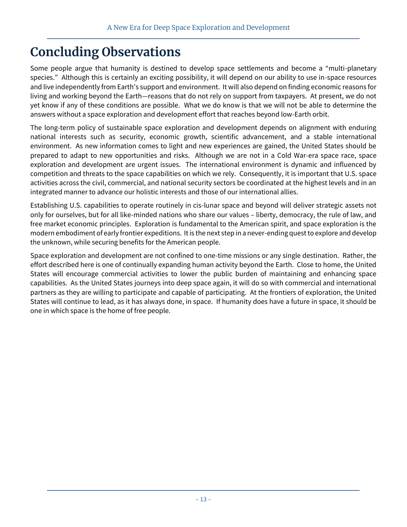## **Concluding Observations**

Some people argue that humanity is destined to develop space settlements and become a "multi-planetary species." Although this is certainly an exciting possibility, it will depend on our ability to use in-space resources and live independently from Earth's support and environment. It will also depend on finding economic reasons for living and working beyond the Earth—reasons that do not rely on support from taxpayers. At present, we do not yet know if any of these conditions are possible. What we do know is that we will not be able to determine the answers without a space exploration and development effort that reaches beyond low-Earth orbit.

The long-term policy of sustainable space exploration and development depends on alignment with enduring national interests such as security, economic growth, scientific advancement, and a stable international environment. As new information comes to light and new experiences are gained, the United States should be prepared to adapt to new opportunities and risks. Although we are not in a Cold War-era space race, space exploration and development are urgent issues. The international environment is dynamic and influenced by competition and threats to the space capabilities on which we rely. Consequently, it is important that U.S. space activities across the civil, commercial, and national security sectors be coordinated at the highest levels and in an integrated manner to advance our holistic interests and those of our international allies.

Establishing U.S. capabilities to operate routinely in cis-lunar space and beyond will deliver strategic assets not only for ourselves, but for all like-minded nations who share our values – liberty, democracy, the rule of law, and free market economic principles. Exploration is fundamental to the American spirit, and space exploration is the modern embodiment of early frontier expeditions. It is the next step in a never-ending quest to explore and develop the unknown, while securing benefits for the American people.

Space exploration and development are not confined to one-time missions or any single destination. Rather, the effort described here is one of continually expanding human activity beyond the Earth. Close to home, the United States will encourage commercial activities to lower the public burden of maintaining and enhancing space capabilities. As the United States journeys into deep space again, it will do so with commercial and international partners as they are willing to participate and capable of participating. At the frontiers of exploration, the United States will continue to lead, as it has always done, in space. If humanity does have a future in space, it should be one in which space is the home of free people.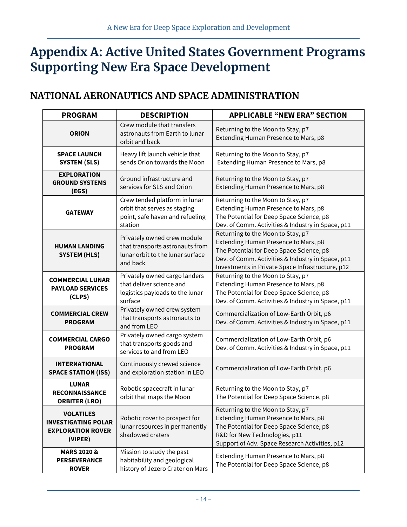## **Appendix A: Active United States Government Programs Supporting New Era Space Development**

## **NATIONAL AERONAUTICS AND SPACE ADMINISTRATION**

| <b>PROGRAM</b>                                                                        | <b>DESCRIPTION</b>                                                                                             | <b>APPLICABLE "NEW ERA" SECTION</b>                                                                                                                                                                                            |
|---------------------------------------------------------------------------------------|----------------------------------------------------------------------------------------------------------------|--------------------------------------------------------------------------------------------------------------------------------------------------------------------------------------------------------------------------------|
| <b>ORION</b>                                                                          | Crew module that transfers<br>astronauts from Earth to lunar<br>orbit and back                                 | Returning to the Moon to Stay, p7<br>Extending Human Presence to Mars, p8                                                                                                                                                      |
| <b>SPACE LAUNCH</b><br><b>SYSTEM (SLS)</b>                                            | Heavy lift launch vehicle that<br>sends Orion towards the Moon                                                 | Returning to the Moon to Stay, p7<br>Extending Human Presence to Mars, p8                                                                                                                                                      |
| <b>EXPLORATION</b><br><b>GROUND SYSTEMS</b><br>(EGS)                                  | Ground infrastructure and<br>services for SLS and Orion                                                        | Returning to the Moon to Stay, p7<br>Extending Human Presence to Mars, p8                                                                                                                                                      |
| <b>GATEWAY</b>                                                                        | Crew tended platform in lunar<br>orbit that serves as staging<br>point, safe haven and refueling<br>station    | Returning to the Moon to Stay, p7<br>Extending Human Presence to Mars, p8<br>The Potential for Deep Space Science, p8<br>Dev. of Comm. Activities & Industry in Space, p11                                                     |
| <b>HUMAN LANDING</b><br><b>SYSTEM (HLS)</b>                                           | Privately owned crew module<br>that transports astronauts from<br>lunar orbit to the lunar surface<br>and back | Returning to the Moon to Stay, p7<br>Extending Human Presence to Mars, p8<br>The Potential for Deep Space Science, p8<br>Dev. of Comm. Activities & Industry in Space, p11<br>Investments in Private Space Infrastructure, p12 |
| <b>COMMERCIAL LUNAR</b><br><b>PAYLOAD SERVICES</b><br>(CLPS)                          | Privately owned cargo landers<br>that deliver science and<br>logistics payloads to the lunar<br>surface        | Returning to the Moon to Stay, p7<br>Extending Human Presence to Mars, p8<br>The Potential for Deep Space Science, p8<br>Dev. of Comm. Activities & Industry in Space, p11                                                     |
| <b>COMMERCIAL CREW</b><br><b>PROGRAM</b>                                              | Privately owned crew system<br>that transports astronauts to<br>and from LEO                                   | Commercialization of Low-Earth Orbit, p6<br>Dev. of Comm. Activities & Industry in Space, p11                                                                                                                                  |
| <b>COMMERCIAL CARGO</b><br><b>PROGRAM</b>                                             | Privately owned cargo system<br>that transports goods and<br>services to and from LEO                          | Commercialization of Low-Earth Orbit, p6<br>Dev. of Comm. Activities & Industry in Space, p11                                                                                                                                  |
| <b>INTERNATIONAL</b><br><b>SPACE STATION (ISS)</b>                                    | Continuously crewed science<br>and exploration station in LEO                                                  | Commercialization of Low-Earth Orbit, p6                                                                                                                                                                                       |
| <b>LUNAR</b><br><b>RECONNAISSANCE</b><br><b>ORBITER (LRO)</b>                         | Robotic spacecraft in lunar<br>orbit that maps the Moon                                                        | Returning to the Moon to Stay, p7<br>The Potential for Deep Space Science, p8                                                                                                                                                  |
| <b>VOLATILES</b><br><b>INVESTIGATING POLAR</b><br><b>EXPLORATION ROVER</b><br>(VIPER) | Robotic rover to prospect for<br>lunar resources in permanently<br>shadowed craters                            | Returning to the Moon to Stay, p7<br>Extending Human Presence to Mars, p8<br>The Potential for Deep Space Science, p8<br>R&D for New Technologies, p11<br>Support of Adv. Space Research Activities, p12                       |
| <b>MARS 2020 &amp;</b><br><b>PERSEVERANCE</b><br><b>ROVER</b>                         | Mission to study the past<br>habitability and geological<br>history of Jezero Crater on Mars                   | Extending Human Presence to Mars, p8<br>The Potential for Deep Space Science, p8                                                                                                                                               |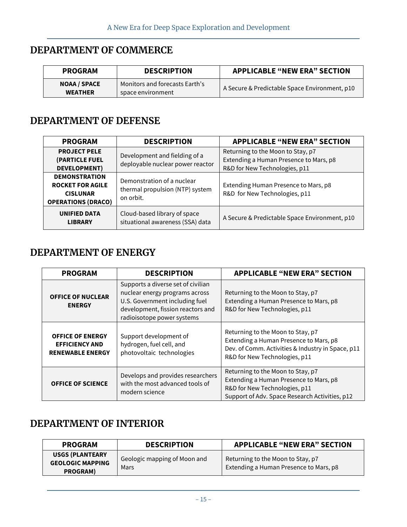## **DEPARTMENT OF COMMERCE**

| <b>PROGRAM</b>                        | <b>DESCRIPTION</b>                                  | <b>APPLICABLE "NEW ERA" SECTION</b>           |
|---------------------------------------|-----------------------------------------------------|-----------------------------------------------|
| <b>NOAA / SPACE</b><br><b>WEATHER</b> | Monitors and forecasts Earth's<br>space environment | A Secure & Predictable Space Environment, p10 |

### **DEPARTMENT OF DEFENSE**

| <b>PROGRAM</b>                                                                                  | <b>DESCRIPTION</b>                                                         | <b>APPLICABLE "NEW ERA" SECTION</b>                                                                          |
|-------------------------------------------------------------------------------------------------|----------------------------------------------------------------------------|--------------------------------------------------------------------------------------------------------------|
| <b>PROJECT PELE</b><br>(PARTICLE FUEL<br><b>DEVELOPMENT)</b>                                    | Development and fielding of a<br>deployable nuclear power reactor          | Returning to the Moon to Stay, p7<br>Extending a Human Presence to Mars, p8<br>R&D for New Technologies, p11 |
| <b>DEMONSTRATION</b><br><b>ROCKET FOR AGILE</b><br><b>CISLUNAR</b><br><b>OPERATIONS (DRACO)</b> | Demonstration of a nuclear<br>thermal propulsion (NTP) system<br>on orbit. | Extending Human Presence to Mars, p8<br>R&D for New Technologies, p11                                        |
| <b>UNIFIED DATA</b><br><b>LIBRARY</b>                                                           | Cloud-based library of space<br>situational awareness (SSA) data           | A Secure & Predictable Space Environment, p10                                                                |

### **DEPARTMENT OF ENERGY**

| <b>PROGRAM</b>                                                              | <b>DESCRIPTION</b>                                                                                                                                                        | <b>APPLICABLE "NEW ERA" SECTION</b>                                                                                                                               |
|-----------------------------------------------------------------------------|---------------------------------------------------------------------------------------------------------------------------------------------------------------------------|-------------------------------------------------------------------------------------------------------------------------------------------------------------------|
| <b>OFFICE OF NUCLEAR</b><br><b>ENERGY</b>                                   | Supports a diverse set of civilian<br>nuclear energy programs across<br>U.S. Government including fuel<br>development, fission reactors and<br>radioisotope power systems | Returning to the Moon to Stay, p7<br>Extending a Human Presence to Mars, p8<br>R&D for New Technologies, p11                                                      |
| <b>OFFICE OF ENERGY</b><br><b>EFFICIENCY AND</b><br><b>RENEWABLE ENERGY</b> | Support development of<br>hydrogen, fuel cell, and<br>photovoltaic technologies                                                                                           | Returning to the Moon to Stay, p7<br>Extending a Human Presence to Mars, p8<br>Dev. of Comm. Activities & Industry in Space, p11<br>R&D for New Technologies, p11 |
| <b>OFFICE OF SCIENCE</b>                                                    | Develops and provides researchers<br>with the most advanced tools of<br>modern science                                                                                    | Returning to the Moon to Stay, p7<br>Extending a Human Presence to Mars, p8<br>R&D for New Technologies, p11<br>Support of Adv. Space Research Activities, p12    |

## **DEPARTMENT OF INTERIOR**

| <b>PROGRAM</b>                                                | <b>DESCRIPTION</b>                   | <b>APPLICABLE "NEW ERA" SECTION</b>                                         |
|---------------------------------------------------------------|--------------------------------------|-----------------------------------------------------------------------------|
| <b>USGS (PLANTEARY</b><br><b>GEOLOGIC MAPPING</b><br>PROGRAM) | Geologic mapping of Moon and<br>Mars | Returning to the Moon to Stay, p7<br>Extending a Human Presence to Mars, p8 |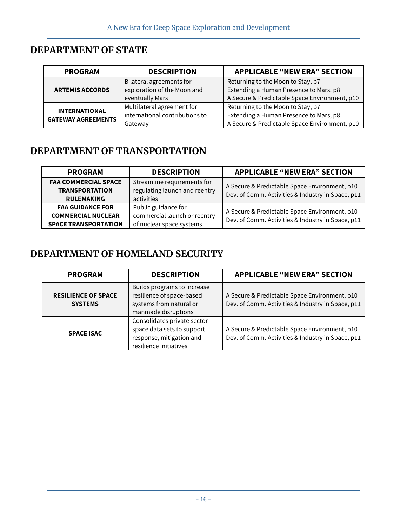## **DEPARTMENT OF STATE**

| <b>PROGRAM</b>            | <b>DESCRIPTION</b>             | <b>APPLICABLE "NEW ERA" SECTION</b>           |
|---------------------------|--------------------------------|-----------------------------------------------|
|                           | Bilateral agreements for       | Returning to the Moon to Stay, p7             |
| <b>ARTEMIS ACCORDS</b>    | exploration of the Moon and    | Extending a Human Presence to Mars, p8        |
|                           | eventually Mars                | A Secure & Predictable Space Environment, p10 |
| <b>INTERNATIONAL</b>      | Multilateral agreement for     | Returning to the Moon to Stay, p7             |
| <b>GATEWAY AGREEMENTS</b> | international contributions to | Extending a Human Presence to Mars, p8        |
|                           | Gateway                        | A Secure & Predictable Space Environment, p10 |

### **DEPARTMENT OF TRANSPORTATION**

| <b>PROGRAM</b>                                                                      | <b>DESCRIPTION</b>                                                              | <b>APPLICABLE "NEW ERA" SECTION</b>                                                                |
|-------------------------------------------------------------------------------------|---------------------------------------------------------------------------------|----------------------------------------------------------------------------------------------------|
| <b>FAA COMMERCIAL SPACE</b><br><b>TRANSPORTATION</b><br><b>RULEMAKING</b>           | Streamline requirements for<br>regulating launch and reentry<br>activities      | A Secure & Predictable Space Environment, p10<br>Dev. of Comm. Activities & Industry in Space, p11 |
| <b>FAA GUIDANCE FOR</b><br><b>COMMERCIAL NUCLEAR</b><br><b>SPACE TRANSPORTATION</b> | Public guidance for<br>commercial launch or reentry<br>of nuclear space systems | A Secure & Predictable Space Environment, p10<br>Dev. of Comm. Activities & Industry in Space, p11 |

### **DEPARTMENT OF HOMELAND SECURITY**

| <b>PROGRAM</b>                               | <b>DESCRIPTION</b>                                                                                              | <b>APPLICABLE "NEW ERA" SECTION</b>                                                                |
|----------------------------------------------|-----------------------------------------------------------------------------------------------------------------|----------------------------------------------------------------------------------------------------|
| <b>RESILIENCE OF SPACE</b><br><b>SYSTEMS</b> | Builds programs to increase<br>resilience of space-based<br>systems from natural or<br>manmade disruptions      | A Secure & Predictable Space Environment, p10<br>Dev. of Comm. Activities & Industry in Space, p11 |
| <b>SPACE ISAC</b>                            | Consolidates private sector<br>space data sets to support<br>response, mitigation and<br>resilience initiatives | A Secure & Predictable Space Environment, p10<br>Dev. of Comm. Activities & Industry in Space, p11 |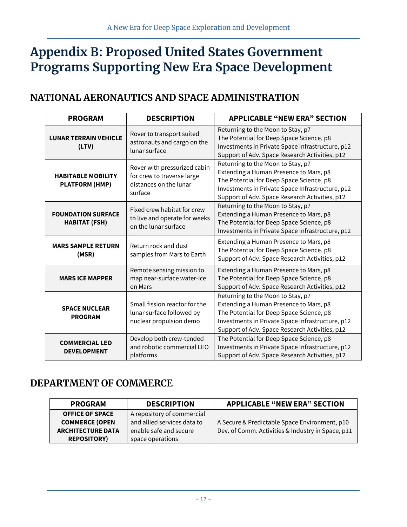## **Appendix B: Proposed United States Government Programs Supporting New Era Space Development**

### **NATIONAL AERONAUTICS AND SPACE ADMINISTRATION**

| <b>PROGRAM</b>                                     | <b>DESCRIPTION</b>                                                                              | <b>APPLICABLE "NEW ERA" SECTION</b>                                                                                                                                                                                           |
|----------------------------------------------------|-------------------------------------------------------------------------------------------------|-------------------------------------------------------------------------------------------------------------------------------------------------------------------------------------------------------------------------------|
| <b>LUNAR TERRAIN VEHICLE</b><br>(LTV)              | Rover to transport suited<br>astronauts and cargo on the<br>lunar surface                       | Returning to the Moon to Stay, p7<br>The Potential for Deep Space Science, p8<br>Investments in Private Space Infrastructure, p12<br>Support of Adv. Space Research Activities, p12                                           |
| <b>HABITABLE MOBILITY</b><br><b>PLATFORM (HMP)</b> | Rover with pressurized cabin<br>for crew to traverse large<br>distances on the lunar<br>surface | Returning to the Moon to Stay, p7<br>Extending a Human Presence to Mars, p8<br>The Potential for Deep Space Science, p8<br>Investments in Private Space Infrastructure, p12<br>Support of Adv. Space Research Activities, p12 |
| <b>FOUNDATION SURFACE</b><br><b>HABITAT (FSH)</b>  | Fixed crew habitat for crew<br>to live and operate for weeks<br>on the lunar surface            | Returning to the Moon to Stay, p7<br>Extending a Human Presence to Mars, p8<br>The Potential for Deep Space Science, p8<br>Investments in Private Space Infrastructure, p12                                                   |
| <b>MARS SAMPLE RETURN</b><br>(MSR)                 | Return rock and dust<br>samples from Mars to Earth                                              | Extending a Human Presence to Mars, p8<br>The Potential for Deep Space Science, p8<br>Support of Adv. Space Research Activities, p12                                                                                          |
| <b>MARS ICE MAPPER</b>                             | Remote sensing mission to<br>map near-surface water-ice<br>on Mars                              | Extending a Human Presence to Mars, p8<br>The Potential for Deep Space Science, p8<br>Support of Adv. Space Research Activities, p12                                                                                          |
| <b>SPACE NUCLEAR</b><br><b>PROGRAM</b>             | Small fission reactor for the<br>lunar surface followed by<br>nuclear propulsion demo           | Returning to the Moon to Stay, p7<br>Extending a Human Presence to Mars, p8<br>The Potential for Deep Space Science, p8<br>Investments in Private Space Infrastructure, p12<br>Support of Adv. Space Research Activities, p12 |
| <b>COMMERCIAL LEO</b><br><b>DEVELOPMENT</b>        | Develop both crew-tended<br>and robotic commercial LEO<br>platforms                             | The Potential for Deep Space Science, p8<br>Investments in Private Space Infrastructure, p12<br>Support of Adv. Space Research Activities, p12                                                                                |

## **DEPARTMENT OF COMMERCE**

| <b>PROGRAM</b>           | <b>DESCRIPTION</b>          | <b>APPLICABLE "NEW ERA" SECTION</b>               |
|--------------------------|-----------------------------|---------------------------------------------------|
| <b>OFFICE OF SPACE</b>   | A repository of commercial  |                                                   |
| <b>COMMERCE (OPEN</b>    | and allied services data to | A Secure & Predictable Space Environment, p10     |
| <b>ARCHITECTURE DATA</b> | enable safe and secure      | Dev. of Comm. Activities & Industry in Space, p11 |
| <b>REPOSITORY</b>        | space operations            |                                                   |